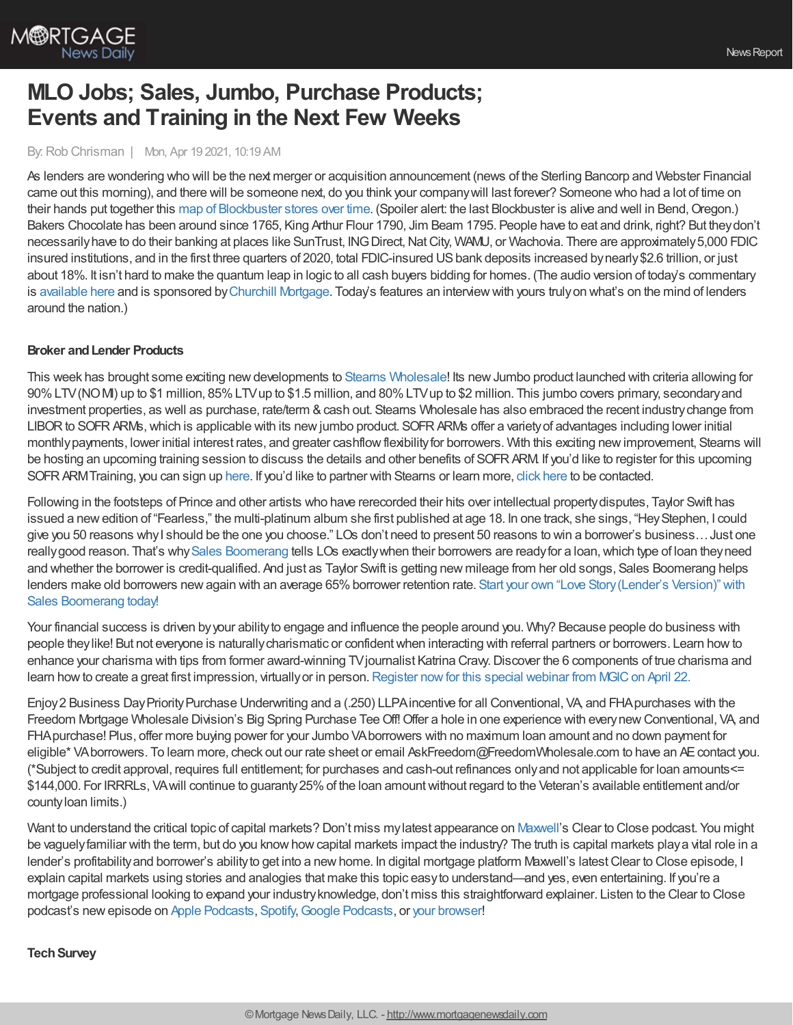

# **MLO Jobs; Sales, Jumbo, Purchase Products; Events and Training in the Next Few Weeks**

#### By:Rob Chrisman | Mon, Apr 19 2021, 10:19 AM

As lenders are wondering who will be the next merger or acquisition announcement (news of the Sterling Bancorp and Webster Financial came out this morning), and there will be someone next, do you think your companywill last forever? Someone who had a lot of time on their hands put together this map of [Blockbuster](https://twitter.com/JonErlichman/status/1383457845081825285) stores over time. (Spoiler alert: the last Blockbuster is alive and well in Bend, Oregon.) Bakers Chocolate has been around since 1765, King Arthur Flour 1790, Jim Beam 1795. People have to eat and drink, right? But theydon't necessarily have to do their banking at places like SunTrust, ING Direct, Nat City, WAMU, or Wachovia. There are approximately 5,000 FDIC insured institutions, and in the first three quarters of 2020, total FDIC-insured USbank deposits increased bynearly\$2.6 trillion, or just about 18%. It isn't hard to make the quantum leap in logic to all cash buyers bidding for homes. (The audio version of today's commentary is [available](https://linktr.ee/dailymortgagenews) here and is sponsored byChurchill [Mortgage](https://info.churchillmortgage.com/careers). Today's features an interviewwith yours trulyon what's on the mind of lenders around the nation.)

### **Broker andLender Products**

This week has brought some exciting new developments to Stearns [Wholesale](https://www.stearnswholesale.com/)! Its new Jumbo product launched with criteria allowing for 90%LTV(NOMI) up to \$1 million, 85%LTVup to \$1.5 million, and 80%LTVup to \$2 million. This jumbo covers primary, secondaryand investment properties, as well as purchase, rate/term & cash out. Stearns Wholesale has also embraced the recent industry change from LIBOR to SOFR ARMs, which is applicable with its new jumbo product. SOFR ARMs offer a variety of advantages including lower initial monthly payments, lower initial interest rates, and greater cashflow flexibility for borrowers. With this exciting new improvement, Stearns will be hosting an upcoming training session to discuss the details and other benefits of SOFR ARM. If you'd like to register for this upcoming SOFRARMTraining, you can sign up [here.](https://register.gotowebinar.com/register/5765319321177449999) If you'd like to partner with Stearns or learn more, click [here](https://sites.totalexpert.net/event-registration/new-broker---chrisman-387548) to be contacted.

Following in the footsteps of Prince and other artists who have rerecorded their hits over intellectual propertydisputes, Taylor Swift has issued a newedition of "Fearless," the multi-platinum album she first published at age 18. In one track, she sings, "HeyStephen, I could give you 50 reasons whyI should be the one you choose." LOs don't need to present 50 reasons to win a borrower's business…Just one really good reason. That's why Sales [Boomerang](https://hubs.ly/H0Lmh3H0) tells LOs exactly when their borrowers are ready for a loan, which type of loan they need and whether the borrower is credit-qualified. And just as Taylor Swift is getting new mileage from her old songs, Sales Boomerang helps lenders make old borrowers new again with an average 65% borrower retention rate. Start your own "Love Story (Lender's Version)" with Sales Boomerang today!

Your financial success is driven by your ability to engage and influence the people around you. Why? Because people do business with people theylike! But not everyone is naturallycharismatic or confidentwhen interacting with referral partners or borrowers. Learn howto enhance your charisma with tips from former award-winning TVjournalist Katrina Cravy.Discover the 6 components of true charisma and learn how to create a great first impression, virtually or in person. [Register](https://pages.mgic.com/2021-04-22_CharismaCounts_Registration.html?utm_source=rc&utm_medium=ppc&utm_campaign=work-smarter&utm_content=text-email) now for this special webinar from MGIC on April 22.

Enjoy 2 Business Day Priority Purchase Underwriting and a (.250) LLPA incentive for all Conventional, VA and FHA purchases with the Freedom Mortgage Wholesale Division's Big Spring Purchase Tee Off! Offer a hole in one experience with every new Conventional, VA, and FHApurchase! Plus, offer more buying power for your Jumbo VAborrowers with no maximum loan amount and no down payment for eligible\* VAborrowers. To learn more, check out our rate sheet or email AskFreedom@FreedomWholesale.com to have an AE contact you. (\*Subject to credit approval, requires full entitlement; for purchases and cash-out refinances onlyand not applicable for loan amounts<= \$144,000. For IRRRLs, VAwill continue to guaranty25%of the loan amountwithout regard to the Veteran's available entitlement and/or countyloan limits.)

Want to understand the critical topic of capital markets? Don't miss mylatest appearance on [Maxwell](https://himaxwell.com/?utm_source=RC&utm_medium=RC_Content)'s Clear to Close podcast. You might be vaguely familiar with the term, but do you know how capital markets impact the industry? The truth is capital markets play a vital role in a lender's profitability and borrower's ability to get into a new home. In digital mortgage platform Maxwell's latest Clear to Close episode, I explain capital markets using stories and analogies that make this topic easyto understand—and yes, even entertaining. If you're a mortgage professional looking to expand your industryknowledge, don't miss this straightforward explainer. Listen to the Clear to Close podcast's new episode on Apple [Podcasts](https://podcasts.apple.com/us/podcast/017-intro-to-capital-markets-w-rob-chrisman/id1488640280?i=1000514892379), [Spotify](https://open.spotify.com/episode/3LU5KsBWcmEixRfKfIGlof), Google [Podcasts,](https://podcasts.google.com/feed/aHR0cHM6Ly9mZWVkcy5zaW1wbGVjYXN0LmNvbS96YmhEbDRvdA/episode/NmE5YjgwZGYtYzY1Ni00ZGJiLWFhOWItNWQ3YTg4YzgyOTBk?sa=X&ved=0CAUQkfYCahcKEwjA57zUzoPwAhUAAAAAHQAAAAAQAg) or your [browser](https://himaxwell.com/podcast?utm_source=RC&utm_medium=RC_Content)!

### **TechSurvey**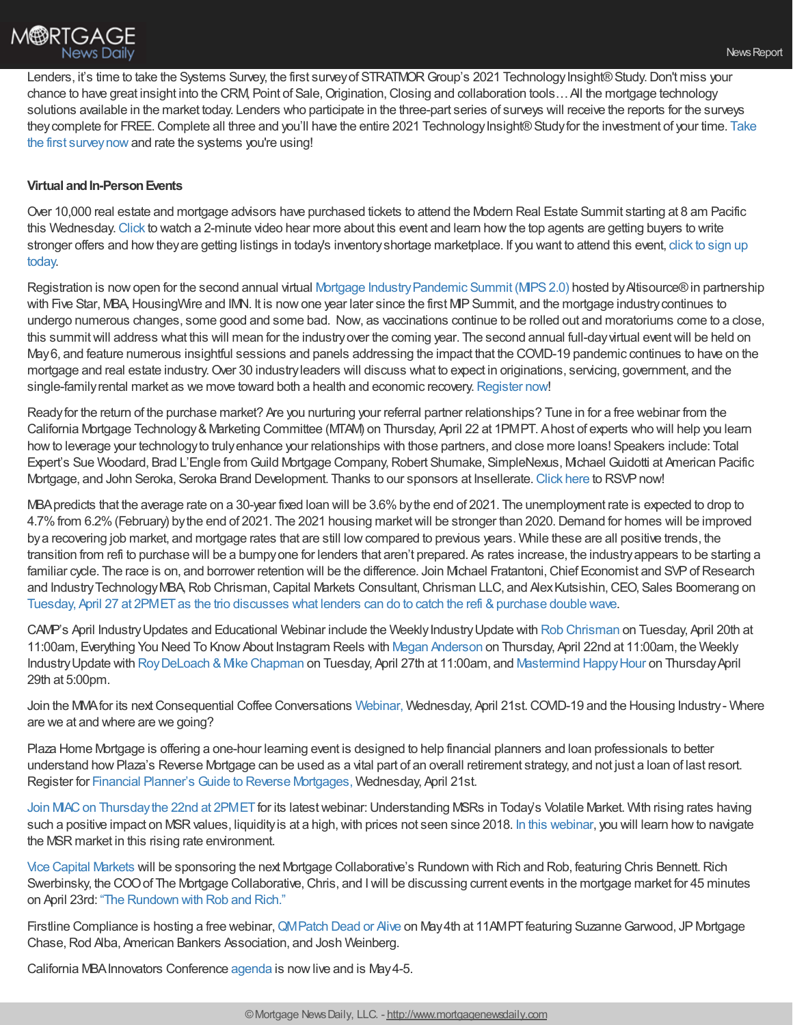Lenders, it's time to take the Systems Survey, the first survey of STRATMOR Group's 2021 Technology Insight® Study. Don't miss your chance to have great insight into the CRM, Point of Sale, Origination, Closing and collaboration tools... All the mortgage technology solutions available in the market today. Lenders who participate in the three-part series of surveys will receive the reports for the surveys they complete for FREE. Complete all three and you'll have the entire 2021 Technology Insight® Study for the investment of your time. Take the first surveynowand rate the systems you're using!

## **Virtual and In-Person Events**

Over 10,000 real estate and mortgage advisors have purchased tickets to attend the Modern Real Estate Summit starting at 8 am Pacific this Wednesday.[Click](https://youtu.be/-HEWU-cGdz8) to watch a 2-minute video hear more about this event and learn howthe top agents are getting buyers to write stronger offers and how they are getting listings in today's inventory shortage marketplace. If you want to attend this event, click to sign up today.

Registration is now open for the second annual virtual Mortgage Industry Pandemic Summit (MPS 2.0) hosted by Attisource® in partnership with Five Star, MBA, HousingWire and IMN. It is now one year later since the first MIP Summit, and the mortgage industry continues to undergo numerous changes, some good and some bad. Now, as vaccinations continue to be rolled out and moratoriums come to a close, this summit will address what this will mean for the industry over the coming year. The second annual full-day virtual event will be held on May6, and feature numerous insightful sessions and panels addressing the impact that the COVID-19 pandemic continues to have on the mortgage and real estate industry.Over 30 industryleaders will discuss what to expect in originations, servicing, government, and the single-family rental market as we move toward both a health and economic recovery. [Register](https://pages.altisource.com/MIPSummit2.0-RobChrisman.html) now!

Readyfor the return of the purchase market? Are you nurturing your referral partner relationships? Tune in for a free webinar from the California Mortgage Technology & Marketing Committee (MTAM) on Thursday, April 22 at 1PMPT. Ahost of experts who will help you learn howto leverage your technologyto trulyenhance your relationships with those partners, and close more loans! Speakers include: Total Expert's Sue Woodard, Brad L'Engle from Guild Mortgage Company, Robert Shumake, SimpleNexus, Michael Guidotti at American Pacific Mortgage, and John Seroka, Seroka Brand Development. Thanks to our sponsors at Insellerate. [Click](https://attendee.gotowebinar.com/register/7601095820635681547) here to RSVP now!

MBA predicts that the average rate on a 30-year fixed loan will be 3.6% by the end of 2021. The unemployment rate is expected to drop to 4.7%from 6.2%(February) bythe end of 2021. The 2021 housing marketwill be stronger than 2020.Demand for homes will be improved bya recovering job market, and mortgage rates that are still lowcompared to previous years. While these are all positive trends, the transition from refi to purchase will be a bumpyone for lenders that aren't prepared. As rates increase, the industryappears to be starting a familiar cycle. The race is on, and borrower retention will be the difference. Join Mchael Fratantoni, Chief Economist and SVP of Research and Industry Technology MBA, Rob Chrisman, Capital Markets Consultant, Chrisman LLC, and Alex Kutsishin, CEO, Sales Boomerang on Tuesday, April 27 at 2PMET as the trio discusses what lenders can do to catch the refi & purchase double wave.

CAMP's April Industry Updates and Educational Webinar include the Weekly Industry Update with Rob [Chrisman](https://register.gotowebinar.com/register/8180560438660702480) on Tuesday, April 20th at 11:00am, Everything You Need To Know About Instagram Reels with Megan [Anderson](https://thecampsite.org/event-4265960) on Thursday, April 22nd at 11:00am, the Weekly Industry Update with Roy DeLoach & Mike Chapman on Tuesday, April 27th at 11:00am, and [Mastermind](https://zoom.us/meeting/register/tJYuc-6qqD8rG9YDSzw7XBM4p9vfW8vVoyFv) Happy Hour on Thursday April 29th at 5:00pm.

Join the MMA for its next Consequential Coffee Conversations [Webinar,](https://themma.memberclicks.net/CCCApril212021#/) Wednesday, April 21st. COVID-19 and the Housing Industry - Where are we at and where are we going?

Plaza Home Mortgage is offering a one-hour learning event is designed to help financial planners and loan professionals to better understand howPlaza's Reverse Mortgage can be used as a vital part of an overall retirement strategy, and not just a loan of last resort. Register for Financial Planner's Guide to Reverse [Mortgages,](https://register.gotowebinar.com/register/7441020121578258956?utm_campaign=Reverse%20Weekly&utm_medium=email&_hsmi=121200054&_hsenc=p2ANqtz-8tyvNJolLKKeb_FJNFJRH4xPepp7bDOZhUaGqvzGjxemp9cuwZCVtuad_gAQ03SLxXZVH63r6nuYuJxwAKzy2QqkPhHneCpW6QwP0IFDHU6oZu5MQ&utm_content=121200054&utm_source=hs_email) Wednesday, April 21st.

Join MAC on Thursday the 22nd at 2PMET for its latest webinar: Understanding MSRs in Today's Volatile Market. With rising rates having such a positive impact on MSR values, liquidity is at a high, with prices not seen since 2018. In this [webinar](https://attendee.gotowebinar.com/register/5634049727135386380?source=RChrismanBlog), you will learn how to navigate the MSR market in this rising rate environment.

Vice Capital [Markets](https://www.vicecapitalmarkets.com/) will be sponsoring the next Mortgage Collaborative's Rundown with Rich and Rob, featuring Chris Bennett.Rich Swerbinsky, the COO of The Mortgage Collaborative, Chris, and I will be discussing current events in the mortgage market for 45 minutes on April 23rd: "The [Rundown](https://mtgcoop.zoom.us/webinar/register/WN_hOUDEqURT9m3mhKCJWRM-A) with Rob and Rich."

Firstline Compliance is hosting a free webinar, QM Patch Dead or Alive on May 4th at 11AMPT featuring Suzanne Garwood, JP Mortgage Chase, Rod Alba, American Bankers Association, and Josh Weinberg.

California MBA Innovators Conference [agenda](https://mortgageinnovators.com/) is now live and is May 4-5.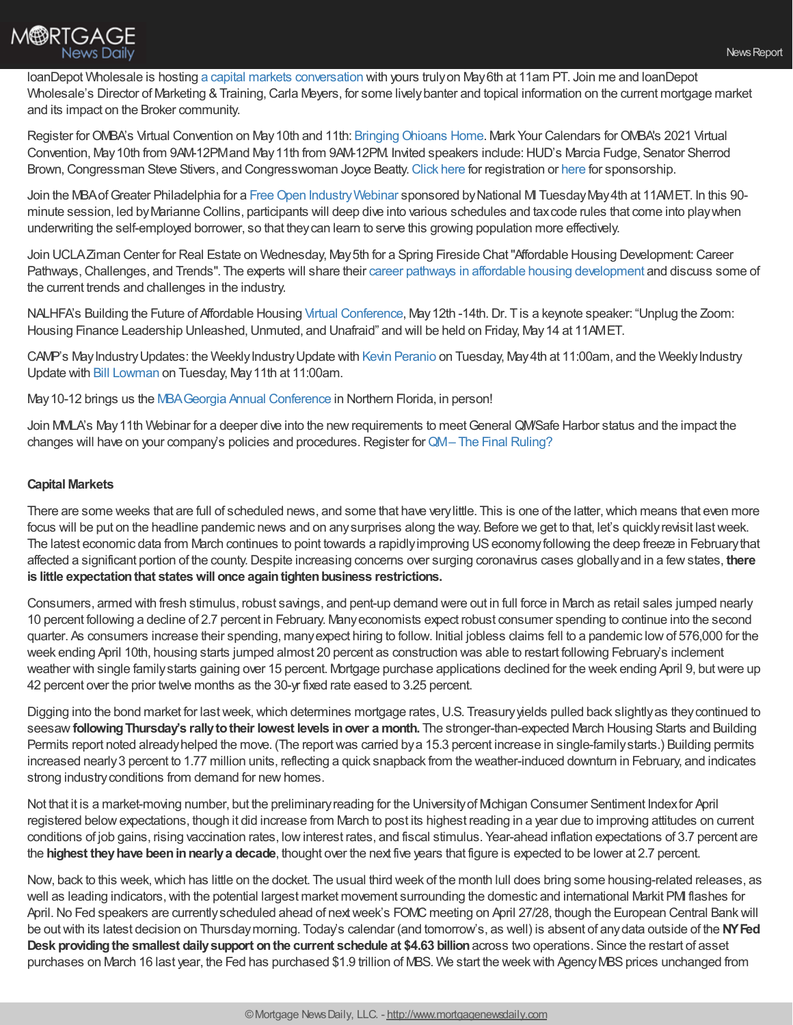

loanDepot Wholesale is hosting a capital markets [conversation](https://loandepot.zoom.us/webinar/register/WN_IMbNABbMRJymYvIogXZBGA?timezone_id=America%252FLos_Angeles) with yours trulyon May6th at 11am PT. Join me and loanDepot Wholesale's Director of Marketing & Training, Carla Meyers, for some lively banter and topical information on the current mortgage market and its impact on the Broker community.

Register for OMBA's Virtual Convention on May 10th and 11th: Bringing Ohioans Home. Mark Your Calendars for OMBA's 2021 Virtual Convention, May10th from 9AM-12PMand May11th from 9AM-12PM. Invited speakers include:HUD's Marcia Fudge, Senator Sherrod Brown, Congressman Steve Stivers, and Congresswoman Joyce Beatty. [Click](https://click.icptrack.com/icp/relay.php?r=36324714&msgid=611783&act=6ZKF&c=1038032&destination=http%253A%252F%252Fwww.ohiomba.org%252Fwp-content%252Fuploads%252F2021%252F02%252F2021-Virtual-Convention-Registration-form.pdf&cf=10226&v=015aa0b073714da54545ab7e3324db9fb7d9785b2750eab71f305cd7c74043bc) [here](https://click.icptrack.com/icp/relay.php?r=36324714&msgid=611783&act=6ZKF&c=1038032&destination=http%253A%252F%252Fwww.ohiomba.org%252Fwp-content%252Fuploads%252F2021%252F02%252F2021-Virtual-Convention-Sponsorship-Registration.pdf&cf=10226&v=ddd6c1dd9b1d2d4c39bf08f32c17291399ac051881f345620c9482706a5eb1a1) for registration or here for sponsorship.

Join the MBA of Greater Philadelphia for a Free Open Industry Webinar sponsored by National MI Tuesday May 4th at 11AMET. In this 90minute session, led byMarianne Collins, participants will deep dive into various schedules and taxcode rules that come into playwhen underwriting the self-employed borrower, so that theycan learn to serve this growing population more effectively.

Join UCLAZiman Center for Real Estate on Wednesday, May 5th for a Spring Fireside Chat "Affordable Housing Development: Career Pathways, Challenges, and Trends". The experts will share their career pathways in affordable housing [development](https://ucla.zoom.us/webinar/register/WN__jA9ILxRTdWxLC7bVY1yEw) and discuss some of the current trends and challenges in the industry.

NALHFA's Building the Future of Affordable Housing Virtual [Conference](https://www.nalhfa.org/page/2021ConfRegistration), May12th -14th.Dr. Tis a keynote speaker: "Unplug the Zoom: Housing Finance Leadership Unleashed, Unmuted, and Unafraid" and will be held on Friday, May 14 at 11AMET.

CAMP's MayIndustryUpdates: the WeeklyIndustryUpdate with Kevin [Peranio](https://register.gotowebinar.com/register/7011124269429014800) on Tuesday, May4th at 11:00am, and the WeeklyIndustry Update with Bill [Lowman](https://register.gotowebinar.com/register/2343164146380463632) on Tuesday, May11th at 11:00am.

May 10-12 brings us the MBA Georgia Annual Conference in Northern Florida, in person!

Join MMLA's May 11th Webinar for a deeper dive into the new requirements to meet General QM/Safe Harbor status and the impact the changes will have on your company's policies and procedures. Register for QM-The Final [Ruling?](https://mmla.net/meet-reg1.php?mi=1681694&id=288)

### **Capital Markets**

There are some weeks that are full of scheduled news, and some that have very little. This is one of the latter, which means that even more focus will be put on the headline pandemic news and on any surprises along the way. Before we get to that, let's quickly revisit last week. The latest economic data from March continues to point towards a rapidlyimproving USeconomyfollowing the deep freeze in Februarythat affected a significant portion of the county.Despite increasing concerns over surging coronavirus cases globallyand in a fewstates, **there is** little expectation that states will once again tighten business restrictions.

Consumers, armed with fresh stimulus, robust savings, and pent-up demand were out in full force in March as retail sales jumped nearly 10 percent following a decline of 2.7 percent in February. Manyeconomists expect robust consumer spending to continue into the second quarter. As consumers increase their spending, manyexpect hiring to follow. Initial jobless claims fell to a pandemic lowof 576,000 for the week ending April 10th, housing starts jumped almost 20 percent as construction was able to restart following February's inclement weather with single familystarts gaining over 15 percent. Mortgage purchase applications declined for the week ending April 9, butwere up 42 percent over the prior twelve months as the 30-yr fixed rate eased to 3.25 percent.

Digging into the bond market for last week, which determines mortgage rates, U.S. Treasury yields pulled back slightly as they continued to seesaw**followingThursday's rallytotheir lowest levels inover a month.** The stronger-than-expected March Housing Starts and Building Permits report noted alreadyhelped the move. (The reportwas carried bya 15.3 percent increase in single-familystarts.) Building permits increased nearly3 percent to 1.77 million units, reflecting a quick snapback from the weather-induced downturn in February, and indicates strong industry conditions from demand for new homes.

Not that it is a market-moving number, but the preliminaryreading for the Universityof Michigan Consumer Sentiment Indexfor April registered belowexpectations, though it did increase from March to post its highest reading in a year due to improving attitudes on current conditions of job gains, rising vaccination rates, lowinterest rates, and fiscal stimulus. Year-ahead inflation expectations of 3.7 percent are the **highest theyhave beeninnearlya decade**, thought over the next five years that figure is expected to be lower at 2.7 percent.

Now, back to this week,which has little on the docket. The usual third week of the month lull does bring some housing-related releases, as well as leading indicators, with the potential largest market movement surrounding the domestic and international Markit PMI flashes for April. No Fed speakers are currently scheduled ahead of next week's FOMC meeting on April 27/28, though the European Central Bank will be outwith its latest decision on Thursdaymorning. Today's calendar (and tomorrow's, as well) is absent of anydata outside of the **NYFed Desk providingthe smallest dailysupport onthe current schedule at \$4.63 billion**across two operations. Since the restart of asset purchases on March 16 last year, the Fed has purchased \$1.9 trillion of MBS. We start the week with Agency MBS prices unchanged from